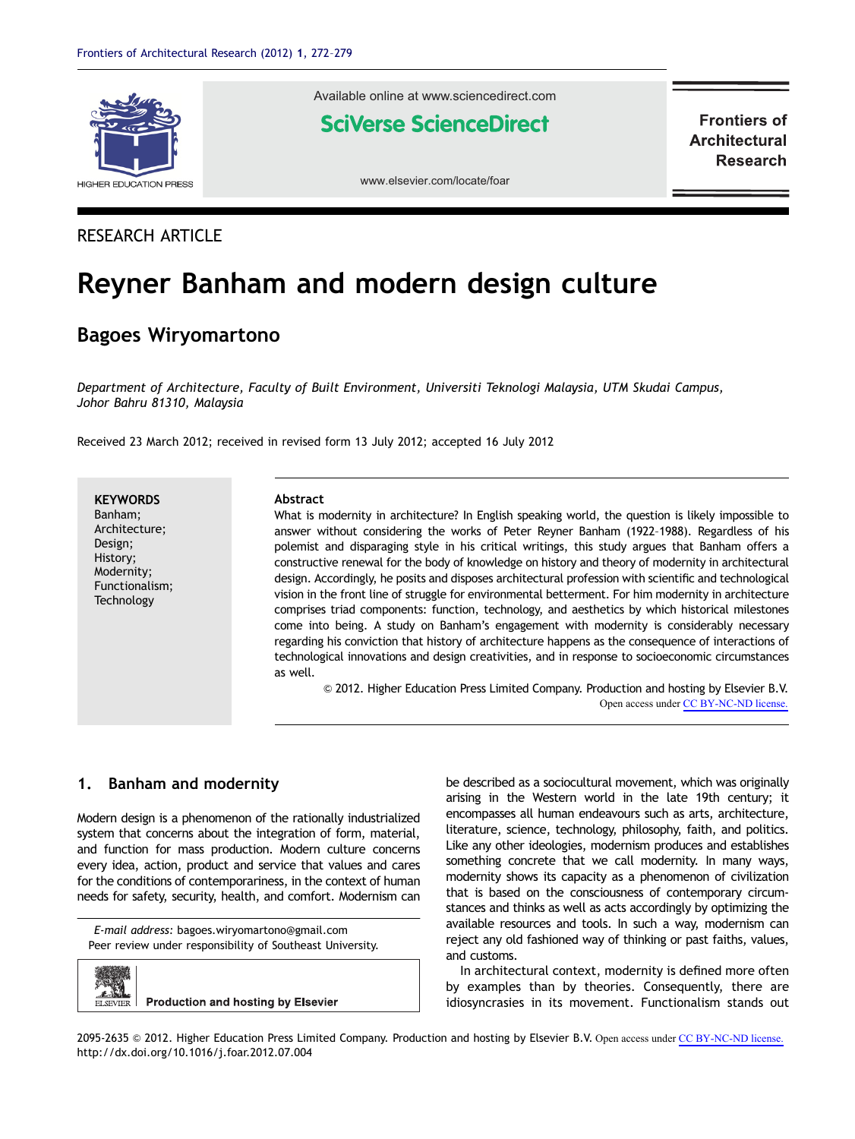

RESEARCH ARTICLE

Available online at www.sciencedirect.com

**SciVerse ScienceDirect** 

**Frontiers of Architectural Research** 

www.elsevier.com/locate/foar

# Reyner Banham and modern design culture

### Bagoes Wiryomartono

Department of Architecture, Faculty of Built Environment, Universiti Teknologi Malaysia, UTM Skudai Campus, Johor Bahru 81310, Malaysia

Received 23 March 2012; received in revised form 13 July 2012; accepted 16 July 2012

**KEYWORDS** Banham; Architecture; Design; History; Modernity; Functionalism; **Technology** 

#### Abstract

What is modernity in architecture? In English speaking world, the question is likely impossible to answer without considering the works of Peter Reyner Banham (1922–1988). Regardless of his polemist and disparaging style in his critical writings, this study argues that Banham offers a constructive renewal for the body of knowledge on history and theory of modernity in architectural design. Accordingly, he posits and disposes architectural profession with scientific and technological vision in the front line of struggle for environmental betterment. For him modernity in architecture comprises triad components: function, technology, and aesthetics by which historical milestones come into being. A study on Banham's engagement with modernity is considerably necessary regarding his conviction that history of architecture happens as the consequence of interactions of technological innovations and design creativities, and in response to socioeconomic circumstances as well.

& 2012. Higher Education Press Limited Company. Production and hosting by Elsevier B.V. Open access under [CC BY-NC-ND license.](http://creativecommons.org/licenses/by-nc-nd/4.0/)

#### 1. Banham and modernity

Modern design is a phenomenon of the rationally industrialized system that concerns about the integration of form, material, and function for mass production. Modern culture concerns every idea, action, product and service that values and cares for the conditions of contemporariness, in the context of human needs for safety, security, health, and comfort. Modernism can

E-mail address: [bagoes.wiryomartono@gmail.com](mailto:bagoes.wiryomartono@gmail.com) Peer review under responsibility of Southeast University.



be described as a sociocultural movement, which was originally arising in the Western world in the late 19th century; it encompasses all human endeavours such as arts, architecture, literature, science, technology, philosophy, faith, and politics. Like any other ideologies, modernism produces and establishes something concrete that we call modernity. In many ways, modernity shows its capacity as a phenomenon of civilization that is based on the consciousness of contemporary circumstances and thinks as well as acts accordingly by optimizing the available resources and tools. In such a way, modernism can reject any old fashioned way of thinking or past faiths, values, and customs.

In architectural context, modernity is defined more often by examples than by theories. Consequently, there are idiosyncrasies in its movement. Functionalism stands out

2095-2635 © 2012. Higher Education Press Limited Company. Production and hosting by Elsevier B.V. Open access under [CC BY-NC-ND license.](http://creativecommons.org/licenses/by-nc-nd/4.0/) [http://dx.doi.org/10.1016/j.foar.2012.07.004](dx.doi.org/10.1016/j.foar.2012.07.004)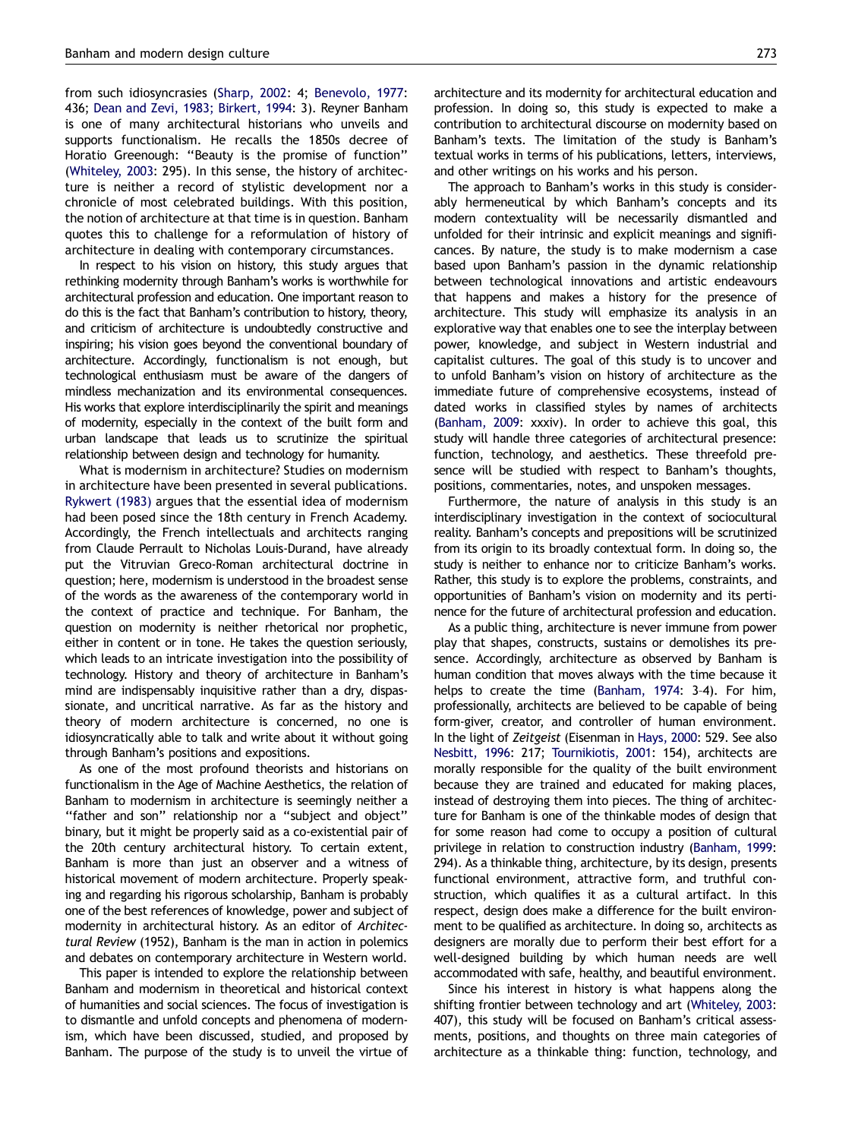from such idiosyncrasies ([Sharp, 2002:](#page--1-0) 4; [Benevolo, 1977](#page--1-0): 436; [Dean and Zevi, 1983; Birkert, 1994](#page--1-0): 3). Reyner Banham is one of many architectural historians who unveils and supports functionalism. He recalls the 1850s decree of Horatio Greenough: ''Beauty is the promise of function'' ([Whiteley, 2003:](#page--1-0) 295). In this sense, the history of architecture is neither a record of stylistic development nor a chronicle of most celebrated buildings. With this position, the notion of architecture at that time is in question. Banham quotes this to challenge for a reformulation of history of architecture in dealing with contemporary circumstances.

In respect to his vision on history, this study argues that rethinking modernity through Banham's works is worthwhile for architectural profession and education. One important reason to do this is the fact that Banham's contribution to history, theory, and criticism of architecture is undoubtedly constructive and inspiring; his vision goes beyond the conventional boundary of architecture. Accordingly, functionalism is not enough, but technological enthusiasm must be aware of the dangers of mindless mechanization and its environmental consequences. His works that explore interdisciplinarily the spirit and meanings of modernity, especially in the context of the built form and urban landscape that leads us to scrutinize the spiritual relationship between design and technology for humanity.

What is modernism in architecture? Studies on modernism in architecture have been presented in several publications. [Rykwert \(1983\)](#page--1-0) argues that the essential idea of modernism had been posed since the 18th century in French Academy. Accordingly, the French intellectuals and architects ranging from Claude Perrault to Nicholas Louis-Durand, have already put the Vitruvian Greco-Roman architectural doctrine in question; here, modernism is understood in the broadest sense of the words as the awareness of the contemporary world in the context of practice and technique. For Banham, the question on modernity is neither rhetorical nor prophetic, either in content or in tone. He takes the question seriously, which leads to an intricate investigation into the possibility of technology. History and theory of architecture in Banham's mind are indispensably inquisitive rather than a dry, dispassionate, and uncritical narrative. As far as the history and theory of modern architecture is concerned, no one is idiosyncratically able to talk and write about it without going through Banham's positions and expositions.

As one of the most profound theorists and historians on functionalism in the Age of Machine Aesthetics, the relation of Banham to modernism in architecture is seemingly neither a "father and son" relationship nor a "subject and object" binary, but it might be properly said as a co-existential pair of the 20th century architectural history. To certain extent, Banham is more than just an observer and a witness of historical movement of modern architecture. Properly speaking and regarding his rigorous scholarship, Banham is probably one of the best references of knowledge, power and subject of modernity in architectural history. As an editor of Architectural Review (1952), Banham is the man in action in polemics and debates on contemporary architecture in Western world.

This paper is intended to explore the relationship between Banham and modernism in theoretical and historical context of humanities and social sciences. The focus of investigation is to dismantle and unfold concepts and phenomena of modernism, which have been discussed, studied, and proposed by Banham. The purpose of the study is to unveil the virtue of architecture and its modernity for architectural education and profession. In doing so, this study is expected to make a contribution to architectural discourse on modernity based on Banham's texts. The limitation of the study is Banham's textual works in terms of his publications, letters, interviews, and other writings on his works and his person.

The approach to Banham's works in this study is considerably hermeneutical by which Banham's concepts and its modern contextuality will be necessarily dismantled and unfolded for their intrinsic and explicit meanings and significances. By nature, the study is to make modernism a case based upon Banham's passion in the dynamic relationship between technological innovations and artistic endeavours that happens and makes a history for the presence of architecture. This study will emphasize its analysis in an explorative way that enables one to see the interplay between power, knowledge, and subject in Western industrial and capitalist cultures. The goal of this study is to uncover and to unfold Banham's vision on history of architecture as the immediate future of comprehensive ecosystems, instead of dated works in classified styles by names of architects [\(Banham, 2009:](#page--1-0) xxxiv). In order to achieve this goal, this study will handle three categories of architectural presence: function, technology, and aesthetics. These threefold presence will be studied with respect to Banham's thoughts, positions, commentaries, notes, and unspoken messages.

Furthermore, the nature of analysis in this study is an interdisciplinary investigation in the context of sociocultural reality. Banham's concepts and prepositions will be scrutinized from its origin to its broadly contextual form. In doing so, the study is neither to enhance nor to criticize Banham's works. Rather, this study is to explore the problems, constraints, and opportunities of Banham's vision on modernity and its pertinence for the future of architectural profession and education.

As a public thing, architecture is never immune from power play that shapes, constructs, sustains or demolishes its presence. Accordingly, architecture as observed by Banham is human condition that moves always with the time because it helps to create the time [\(Banham, 1974](#page--1-0): 3–4). For him, professionally, architects are believed to be capable of being form-giver, creator, and controller of human environment. In the light of Zeitgeist (Eisenman in [Hays, 2000:](#page--1-0) 529. See also [Nesbitt, 1996:](#page--1-0) 217; [Tournikiotis, 2001](#page--1-0): 154), architects are morally responsible for the quality of the built environment because they are trained and educated for making places, instead of destroying them into pieces. The thing of architecture for Banham is one of the thinkable modes of design that for some reason had come to occupy a position of cultural privilege in relation to construction industry [\(Banham, 1999](#page--1-0): 294). As a thinkable thing, architecture, by its design, presents functional environment, attractive form, and truthful construction, which qualifies it as a cultural artifact. In this respect, design does make a difference for the built environment to be qualified as architecture. In doing so, architects as designers are morally due to perform their best effort for a well-designed building by which human needs are well accommodated with safe, healthy, and beautiful environment.

Since his interest in history is what happens along the shifting frontier between technology and art [\(Whiteley, 2003](#page--1-0): 407), this study will be focused on Banham's critical assessments, positions, and thoughts on three main categories of architecture as a thinkable thing: function, technology, and